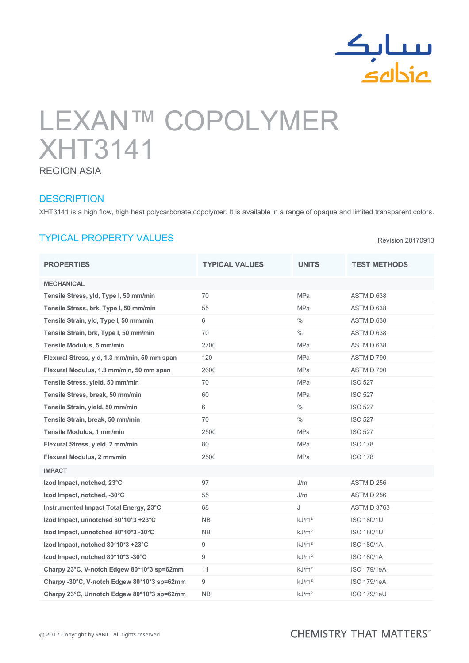

Revision 20170913

# LEXAN™ COPOLYMER XHT3141 REGION ASIA

#### **DESCRIPTION**

XHT3141 is a high flow, high heat polycarbonate copolymer. It is available in a range of opaque and limited transparent colors.

## TYPICAL PROPERTY VALUES

PROPERTIES TYPICAL VALUES UNITS TEST METHODS MECHANICAL Tensile Stress, yld, Type I, 50 mm/min 70 70 MPa MPa ASTM D 638 Tensile Stress, brk, Type I, 50 mm/min 55 MPa MPa ASTM D 638 Tensile Strain, yld, Type I, 50 mm/min 6 % ASTM D 638 Tensile Strain, brk, Type I, 50 mm/min 70 70  $\%$  ASTM D 638 Tensile Modulus, 5 mm/min  $2700$  2700 MPa ASTM D 638 Flexural Stress, yld, 1.3 mm/min, 50 mm span 120 MPa MPa ASTM D 790 Flexural Modulus, 1.3 mm/min, 50 mm span 2600 MPa MPa ASTM D 790 Tensile Stress, yield, 50 mm/min 1999 10 10 70 10 10 10 10 10 10 10 11 11 12 13 13 13 13 14 15 16 17 17 17 17 1 Tensile Stress, break, 50 mm/min 60 60 MPa ISO 527 Tensile Strain, yield, 50 mm/min 6  $\%$  6 % 1SO 527 Tensile Strain, break, 50 mm/min 70 % ISO 527 Tensile Modulus, 1 mm/min  $2500$  2500 MPa ISO 527 Flexural Stress, yield, 2 mm/min 80 and 80 MPa ISO 178 Flexural Modulus, 2 mm/min  $2500$  2500 MPa ISO 178 IMPACT **Izod Impact, notched, 23°C** 97 97 J/m ASTM D 256 Izod Impact, notched, -30°C 55 5 J/m ASTM D 256 Instrumented Impact Total Energy, 23°C 68 J ASTM D 3763 Izod Impact, unnotched 80\*10\*3 +23°C NB kJ/m² ISO 180/1U Izod Impact, unnotched 80\*10\*3 -30°C NB kJ/m² ISO 180/1U  $\lambda$  Izod Impact, notched 80\*10\*3 +23°C 9 and 900 model by  $\lambda$  ISO 180/1A  $\lambda$  Izod Impact, notched 80\*10\*3 -30°C 9 kJ/m² ISO 180/1A Charpy 23°C, V-notch Edgew 80\*10\*3 sp=62mm 11 kJ/m<sup>2</sup> kJ/m<sup>2</sup> ISO 179/1eA Charpy -30°C, V-notch Edgew 80\*10\*3 sp=62mm 9  $kJ/m^2$  kJ/m<sup>2</sup> ISO 179/1eA Charpy 23°C, Unnotch Edgew 80\*10\*3 sp=62mm NB kJ/m<sup>2</sup> kJ/m<sup>2</sup> ISO 179/1eU

### **CHEMISTRY THAT MATTERS**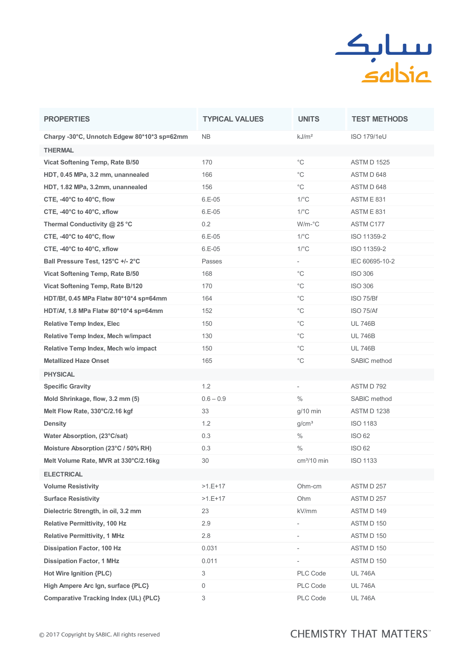

| <b>PROPERTIES</b>                             | <b>TYPICAL VALUES</b> | <b>UNITS</b>             | <b>TEST METHODS</b> |
|-----------------------------------------------|-----------------------|--------------------------|---------------------|
| Charpy -30°C, Unnotch Edgew 80*10*3 sp=62mm   | NB.                   | kJ/m <sup>2</sup>        | <b>ISO 179/1eU</b>  |
| <b>THERMAL</b>                                |                       |                          |                     |
| Vicat Softening Temp, Rate B/50               | 170                   | $^{\circ}$ C             | <b>ASTM D 1525</b>  |
| HDT, 0.45 MPa, 3.2 mm, unannealed             | 166                   | $^{\circ}$ C             | ASTM D 648          |
| HDT, 1.82 MPa, 3.2mm, unannealed              | 156                   | $^{\circ}$ C             | ASTM D 648          |
| CTE, $-40^{\circ}$ C to $40^{\circ}$ C, flow  | $6.E-05$              | $1$ / $\degree$ C        | ASTME831            |
| CTE, -40°C to 40°C, xflow                     | 6.E-05                | $1$ / $\degree$ C        | <b>ASTM E 831</b>   |
| Thermal Conductivity @ 25 °C                  | 0.2                   | $W/m$ - $°C$             | ASTM C177           |
| CTE, -40°C to 40°C, flow                      | $6.E-05$              | $1$ / $\degree$ C        | ISO 11359-2         |
| CTE, $-40^{\circ}$ C to $40^{\circ}$ C, xflow | $6.E-05$              | $1$ / $\degree$ C        | ISO 11359-2         |
| Ball Pressure Test, 125°C +/- 2°C             | Passes                |                          | IEC 60695-10-2      |
| Vicat Softening Temp, Rate B/50               | 168                   | $^{\circ}$ C             | <b>ISO 306</b>      |
| Vicat Softening Temp, Rate B/120              | 170                   | $^{\circ}$ C             | <b>ISO 306</b>      |
| HDT/Bf, 0.45 MPa Flatw 80*10*4 sp=64mm        | 164                   | $^{\circ}$ C             | ISO 75/Bf           |
| HDT/Af, 1.8 MPa Flatw 80*10*4 sp=64mm         | 152                   | $^{\circ}$ C             | ISO 75/Af           |
| <b>Relative Temp Index, Elec</b>              | 150                   | $^{\circ}$ C             | <b>UL 746B</b>      |
| Relative Temp Index, Mech w/impact            | 130                   | $^{\circ}$ C             | <b>UL 746B</b>      |
| Relative Temp Index, Mech w/o impact          | 150                   | $^{\circ}$ C             | <b>UL 746B</b>      |
| <b>Metallized Haze Onset</b>                  | 165                   | $^{\circ}{\rm C}$        | SABIC method        |
| <b>PHYSICAL</b>                               |                       |                          |                     |
| <b>Specific Gravity</b>                       | 1.2                   | $\overline{\phantom{a}}$ | ASTM D 792          |
| Mold Shrinkage, flow, 3.2 mm (5)              | $0.6 - 0.9$           | $\frac{0}{0}$            | SABIC method        |
| Melt Flow Rate, 330°C/2.16 kgf                | 33                    | $g/10$ min               | ASTM D 1238         |
| <b>Density</b>                                | 1.2                   | g/cm <sup>3</sup>        | <b>ISO 1183</b>     |
| Water Absorption, (23°C/sat)                  | 0.3                   | $\%$                     | <b>ISO 62</b>       |
| Moisture Absorption (23°C / 50% RH)           | 0.3                   | $\%$                     | <b>ISO 62</b>       |
| Melt Volume Rate, MVR at 330°C/2.16kg         | 30                    | $cm3/10$ min             | <b>ISO 1133</b>     |
| <b>ELECTRICAL</b>                             |                       |                          |                     |
| <b>Volume Resistivity</b>                     | $>1.E+17$             | Ohm-cm                   | ASTM D 257          |
| <b>Surface Resistivity</b>                    | $>1.E+17$             | Ohm                      | ASTM D 257          |
| Dielectric Strength, in oil, 3.2 mm           | 23                    | kV/mm                    | ASTMD 149           |
| <b>Relative Permittivity, 100 Hz</b>          | 2.9                   | $\overline{\phantom{a}}$ | ASTM D 150          |
| <b>Relative Permittivity, 1 MHz</b>           | 2.8                   |                          | ASTM D 150          |
| <b>Dissipation Factor, 100 Hz</b>             | 0.031                 | $\overline{\phantom{a}}$ | ASTM D 150          |
| <b>Dissipation Factor, 1 MHz</b>              | 0.011                 | $\overline{\phantom{a}}$ | ASTM D 150          |
| Hot Wire Ignition {PLC)                       | 3                     | PLC Code                 | <b>UL 746A</b>      |
| High Ampere Arc Ign, surface {PLC}            | 0                     | PLC Code                 | <b>UL 746A</b>      |
| Comparative Tracking Index (UL) {PLC}         | 3                     | PLC Code                 | <b>UL 746A</b>      |

## **CHEMISTRY THAT MATTERS**